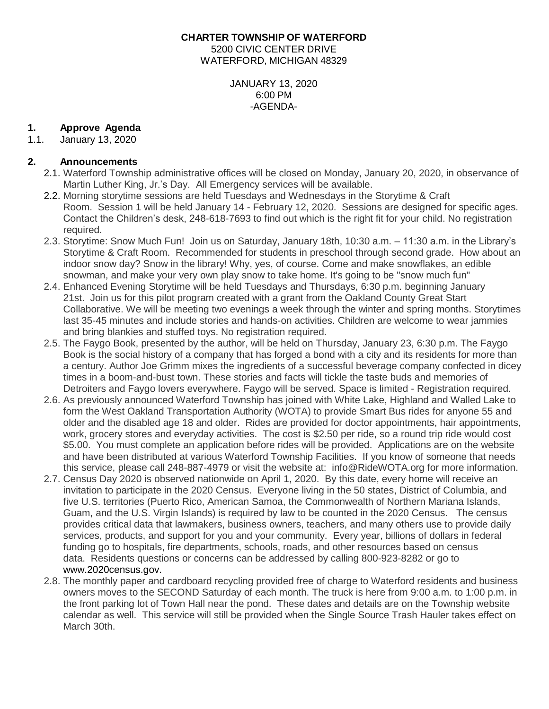#### **CHARTER TOWNSHIP OF WATERFORD** 5200 CIVIC CENTER DRIVE WATERFORD, MICHIGAN 48329

JANUARY 13, 2020 6:00 PM -AGENDA-

## **1. Approve Agenda**

1.1. January 13, 2020

# **2. Announcements**

- 2.1. Waterford Township administrative offices will be closed on Monday, January 20, 2020, in observance of Martin Luther King, Jr.'s Day. All Emergency services will be available.
- 2.2. Morning storytime sessions are held Tuesdays and Wednesdays in the Storytime & Craft Room. Session 1 will be held January 14 - February 12, 2020. Sessions are designed for specific ages. Contact the Children's desk, 248-618-7693 to find out which is the right fit for your child. No registration required.
- 2.3. Storytime: Snow Much Fun! Join us on Saturday, January 18th, 10:30 a.m. 11:30 a.m. in the Library's Storytime & Craft Room. Recommended for students in preschool through second grade. How about an indoor snow day? Snow in the library! Why, yes, of course. Come and make snowflakes, an edible snowman, and make your very own play snow to take home. It's going to be "snow much fun"
- 2.4. Enhanced Evening Storytime will be held Tuesdays and Thursdays, 6:30 p.m. beginning January 21st. Join us for this pilot program created with a grant from the Oakland County Great Start Collaborative. We will be meeting two evenings a week through the winter and spring months. Storytimes last 35-45 minutes and include stories and hands-on activities. Children are welcome to wear jammies and bring blankies and stuffed toys. No registration required.
- 2.5. The Faygo Book, presented by the author, will be held on Thursday, January 23, 6:30 p.m. The Faygo Book is the social history of a company that has forged a bond with a city and its residents for more than a century. Author Joe Grimm mixes the ingredients of a successful beverage company confected in dicey times in a boom-and-bust town. These stories and facts will tickle the taste buds and memories of Detroiters and Faygo lovers everywhere. Faygo will be served. Space is limited - Registration required.
- 2.6. As previously announced Waterford Township has joined with White Lake, Highland and Walled Lake to form the West Oakland Transportation Authority (WOTA) to provide Smart Bus rides for anyone 55 and older and the disabled age 18 and older. Rides are provided for doctor appointments, hair appointments, work, grocery stores and everyday activities. The cost is \$2.50 per ride, so a round trip ride would cost \$5.00. You must complete an application before rides will be provided. Applications are on the website and have been distributed at various Waterford Township Facilities. If you know of someone that needs this service, please call 248-887-4979 or visit the website at: info@RideWOTA.org for more information.
- 2.7. Census Day 2020 is observed nationwide on April 1, 2020. By this date, every home will receive an invitation to participate in the 2020 Census. Everyone living in the 50 states, District of Columbia, and five U.S. territories (Puerto Rico, American Samoa, the Commonwealth of Northern Mariana Islands, Guam, and the U.S. Virgin Islands) is required by law to be counted in the 2020 Census. The census provides critical data that lawmakers, business owners, teachers, and many others use to provide daily services, products, and support for you and your community. Every year, billions of dollars in federal funding go to hospitals, fire departments, schools, roads, and other resources based on census data. Residents questions or concerns can be addressed by calling 800-923-8282 or go to [www.2020census.gov.](http://www.2020census.gov/)
- 2.8. The monthly paper and cardboard recycling provided free of charge to Waterford residents and business owners moves to the SECOND Saturday of each month. The truck is here from 9:00 a.m. to 1:00 p.m. in the front parking lot of Town Hall near the pond. These dates and details are on the Township website calendar as well. This service will still be provided when the Single Source Trash Hauler takes effect on March 30th.